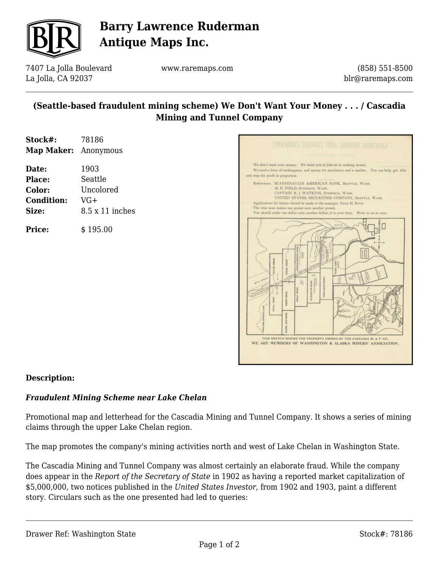

# **Barry Lawrence Ruderman Antique Maps Inc.**

7407 La Jolla Boulevard La Jolla, CA 92037

www.raremaps.com

(858) 551-8500 blr@raremaps.com

### **(Seattle-based fraudulent mining scheme) We Don't Want Your Money . . . / Cascadia Mining and Tunnel Company**

| Stock#:              | 78186                  |
|----------------------|------------------------|
| Map Maker: Anonymous |                        |
| Date:                | 1903                   |
| Place:               | Seattle                |
| Color:               | Uncolored              |
| <b>Condition:</b>    | $VG+$                  |
| Size:                | $8.5 \times 11$ inches |





#### **Description:**

#### *Fraudulent Mining Scheme near Lake Chelan*

Promotional map and letterhead for the Cascadia Mining and Tunnel Company. It shows a series of mining claims through the upper Lake Chelan region.

The map promotes the company's mining activities north and west of Lake Chelan in Washington State.

The Cascadia Mining and Tunnel Company was almost certainly an elaborate fraud. While the company does appear in the *Report of the Secretary of State* in 1902 as having a reported market capitalization of \$5,000,000, two notices published in the *United States Investor*, from 1902 and 1903, paint a different story. Circulars such as the one presented had led to queries: